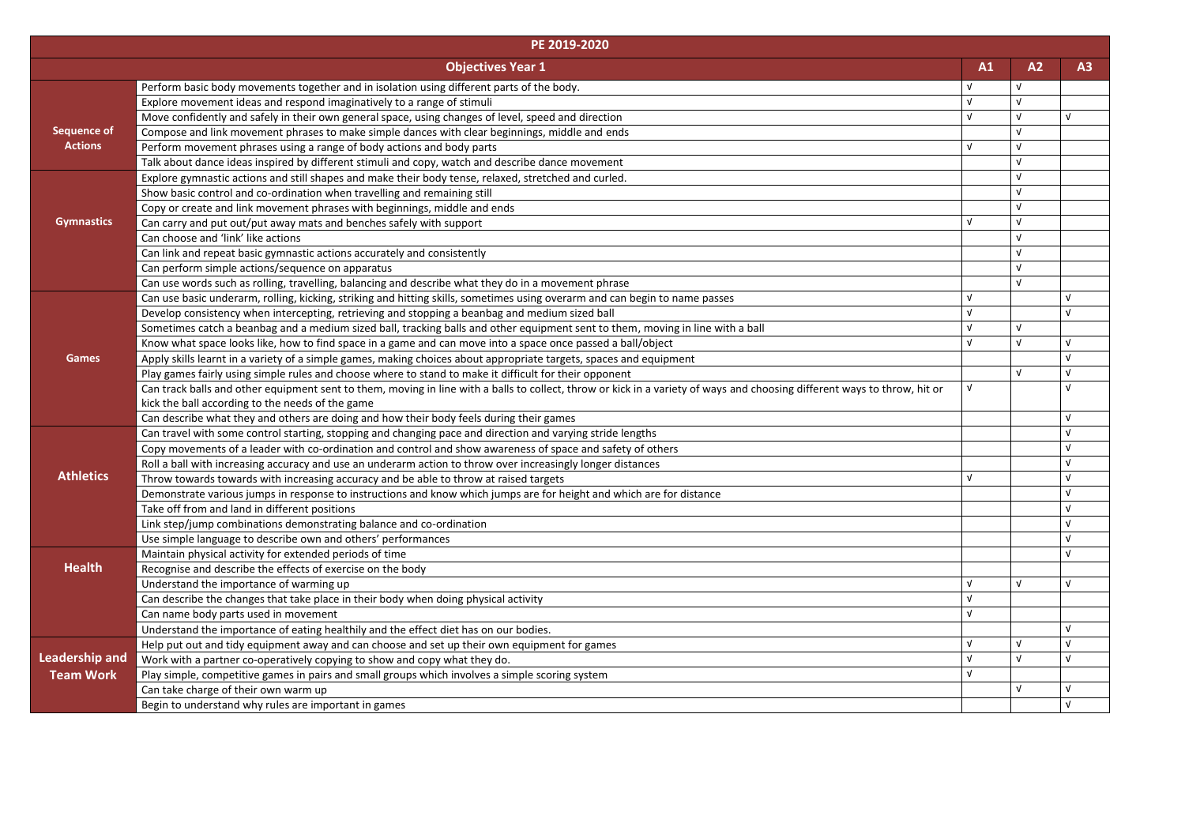|                       | PE 2019-2020                                                                                                                                                              |            |            |            |
|-----------------------|---------------------------------------------------------------------------------------------------------------------------------------------------------------------------|------------|------------|------------|
|                       | <b>Objectives Year 1</b>                                                                                                                                                  | A1         | A2         | A3         |
|                       | Perform basic body movements together and in isolation using different parts of the body.                                                                                 | νI         |            |            |
|                       | Explore movement ideas and respond imaginatively to a range of stimuli                                                                                                    | νI         |            |            |
|                       | Move confidently and safely in their own general space, using changes of level, speed and direction                                                                       | Λ.         | $\sqrt{ }$ | $\sqrt{ }$ |
| <b>Sequence of</b>    | Compose and link movement phrases to make simple dances with clear beginnings, middle and ends                                                                            |            | $\sqrt{ }$ |            |
| <b>Actions</b>        | Perform movement phrases using a range of body actions and body parts                                                                                                     | νI         | $\sqrt{ }$ |            |
|                       | Talk about dance ideas inspired by different stimuli and copy, watch and describe dance movement                                                                          |            | $\sqrt{ }$ |            |
|                       | Explore gymnastic actions and still shapes and make their body tense, relaxed, stretched and curled.                                                                      |            | $\sqrt{ }$ |            |
|                       | Show basic control and co-ordination when travelling and remaining still                                                                                                  |            | $\sqrt{ }$ |            |
|                       | Copy or create and link movement phrases with beginnings, middle and ends                                                                                                 |            | $\sqrt{ }$ |            |
| <b>Gymnastics</b>     | Can carry and put out/put away mats and benches safely with support                                                                                                       | ν          | $\sqrt{ }$ |            |
|                       | Can choose and 'link' like actions                                                                                                                                        |            |            |            |
|                       | Can link and repeat basic gymnastic actions accurately and consistently                                                                                                   |            |            |            |
|                       | Can perform simple actions/sequence on apparatus                                                                                                                          |            |            |            |
|                       | Can use words such as rolling, travelling, balancing and describe what they do in a movement phrase                                                                       |            | $\sqrt{ }$ |            |
|                       | Can use basic underarm, rolling, kicking, striking and hitting skills, sometimes using overarm and can begin to name passes                                               | v          |            |            |
|                       | Develop consistency when intercepting, retrieving and stopping a beanbag and medium sized ball                                                                            | v          |            | $\sqrt{ }$ |
|                       | Sometimes catch a beanbag and a medium sized ball, tracking balls and other equipment sent to them, moving in line with a ball                                            | ν          | $\sqrt{ }$ |            |
|                       | Know what space looks like, how to find space in a game and can move into a space once passed a ball/object                                                               | ν          | $\sqrt{ }$ | V          |
| <b>Games</b>          | Apply skills learnt in a variety of a simple games, making choices about appropriate targets, spaces and equipment                                                        |            |            |            |
|                       | Play games fairly using simple rules and choose where to stand to make it difficult for their opponent                                                                    |            | $\sqrt{ }$ | V          |
|                       | Can track balls and other equipment sent to them, moving in line with a balls to collect, throw or kick in a variety of ways and choosing different ways to throw, hit or | $\sqrt{ }$ |            |            |
|                       | kick the ball according to the needs of the game                                                                                                                          |            |            |            |
|                       | Can describe what they and others are doing and how their body feels during their games                                                                                   |            |            |            |
|                       | Can travel with some control starting, stopping and changing pace and direction and varying stride lengths                                                                |            |            |            |
|                       | Copy movements of a leader with co-ordination and control and show awareness of space and safety of others                                                                |            |            |            |
|                       | Roll a ball with increasing accuracy and use an underarm action to throw over increasingly longer distances                                                               |            |            |            |
| <b>Athletics</b>      | Throw towards towards with increasing accuracy and be able to throw at raised targets                                                                                     | v          |            |            |
|                       | Demonstrate various jumps in response to instructions and know which jumps are for height and which are for distance                                                      |            |            |            |
|                       | Take off from and land in different positions                                                                                                                             |            |            |            |
|                       | Link step/jump combinations demonstrating balance and co-ordination                                                                                                       |            |            |            |
|                       | Use simple language to describe own and others' performances                                                                                                              |            |            |            |
|                       | Maintain physical activity for extended periods of time                                                                                                                   |            |            |            |
| <b>Health</b>         | Recognise and describe the effects of exercise on the body                                                                                                                |            |            |            |
|                       | Understand the importance of warming up                                                                                                                                   |            |            |            |
|                       | Can describe the changes that take place in their body when doing physical activity                                                                                       |            |            |            |
|                       | Can name body parts used in movement                                                                                                                                      | v          |            |            |
|                       | Understand the importance of eating healthily and the effect diet has on our bodies.                                                                                      |            |            |            |
|                       | Help put out and tidy equipment away and can choose and set up their own equipment for games                                                                              | v          | ν          | V          |
| <b>Leadership and</b> | Work with a partner co-operatively copying to show and copy what they do.                                                                                                 | v          | $\sqrt{ }$ | $\sqrt{ }$ |
| <b>Team Work</b>      | Play simple, competitive games in pairs and small groups which involves a simple scoring system                                                                           | V          |            |            |
|                       | Can take charge of their own warm up                                                                                                                                      |            |            |            |
|                       | Begin to understand why rules are important in games                                                                                                                      |            |            |            |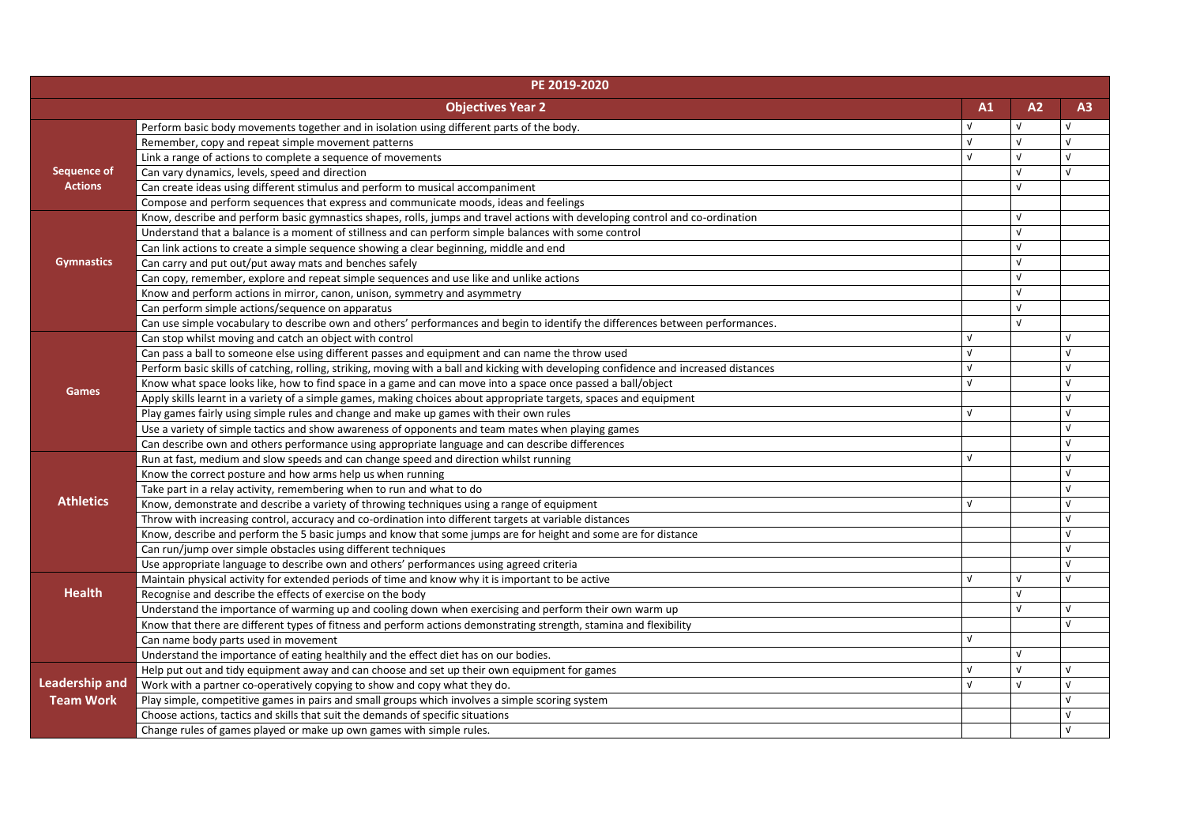| PE 2019-2020          |                                                                                                                                        |    |    |            |
|-----------------------|----------------------------------------------------------------------------------------------------------------------------------------|----|----|------------|
|                       | <b>Objectives Year 2</b>                                                                                                               | A1 | A2 | A3         |
|                       | Perform basic body movements together and in isolation using different parts of the body.                                              |    |    |            |
|                       | Remember, copy and repeat simple movement patterns                                                                                     |    |    | $\sqrt{ }$ |
| <b>Sequence of</b>    | Link a range of actions to complete a sequence of movements                                                                            |    |    | $\sqrt{ }$ |
|                       | Can vary dynamics, levels, speed and direction                                                                                         |    |    | $\sqrt{ }$ |
| <b>Actions</b>        | Can create ideas using different stimulus and perform to musical accompaniment                                                         |    |    |            |
|                       | Compose and perform sequences that express and communicate moods, ideas and feelings                                                   |    |    |            |
|                       | Know, describe and perform basic gymnastics shapes, rolls, jumps and travel actions with developing control and co-ordination          |    |    |            |
|                       | Understand that a balance is a moment of stillness and can perform simple balances with some control                                   |    | νI |            |
|                       | Can link actions to create a simple sequence showing a clear beginning, middle and end                                                 |    |    |            |
| <b>Gymnastics</b>     | Can carry and put out/put away mats and benches safely                                                                                 |    |    |            |
|                       | Can copy, remember, explore and repeat simple sequences and use like and unlike actions                                                |    |    |            |
|                       | Know and perform actions in mirror, canon, unison, symmetry and asymmetry                                                              |    |    |            |
|                       | Can perform simple actions/sequence on apparatus                                                                                       |    |    |            |
|                       | Can use simple vocabulary to describe own and others' performances and begin to identify the differences between performances.         |    |    |            |
|                       | Can stop whilst moving and catch an object with control                                                                                |    |    |            |
|                       | Can pass a ball to someone else using different passes and equipment and can name the throw used                                       |    |    |            |
|                       | Perform basic skills of catching, rolling, striking, moving with a ball and kicking with developing confidence and increased distances |    |    | $\sqrt{ }$ |
|                       | Know what space looks like, how to find space in a game and can move into a space once passed a ball/object                            |    |    | $\sqrt{ }$ |
| <b>Games</b>          | Apply skills learnt in a variety of a simple games, making choices about appropriate targets, spaces and equipment                     |    |    | $\sqrt{ }$ |
|                       | Play games fairly using simple rules and change and make up games with their own rules                                                 |    |    |            |
|                       | Use a variety of simple tactics and show awareness of opponents and team mates when playing games                                      |    |    |            |
|                       | Can describe own and others performance using appropriate language and can describe differences                                        |    |    | $\sqrt{ }$ |
|                       | Run at fast, medium and slow speeds and can change speed and direction whilst running                                                  | νI |    | $\sqrt{ }$ |
|                       | Know the correct posture and how arms help us when running                                                                             |    |    |            |
|                       | Take part in a relay activity, remembering when to run and what to do                                                                  |    |    |            |
| <b>Athletics</b>      | Know, demonstrate and describe a variety of throwing techniques using a range of equipment                                             |    |    |            |
|                       | Throw with increasing control, accuracy and co-ordination into different targets at variable distances                                 |    |    |            |
|                       | Know, describe and perform the 5 basic jumps and know that some jumps are for height and some are for distance                         |    |    | $\sqrt{ }$ |
|                       | Can run/jump over simple obstacles using different techniques                                                                          |    |    | $\sqrt{ }$ |
|                       | Use appropriate language to describe own and others' performances using agreed criteria                                                |    |    |            |
|                       | Maintain physical activity for extended periods of time and know why it is important to be active                                      |    |    |            |
| <b>Health</b>         | Recognise and describe the effects of exercise on the body                                                                             |    |    |            |
|                       | Understand the importance of warming up and cooling down when exercising and perform their own warm up                                 |    |    |            |
|                       | Know that there are different types of fitness and perform actions demonstrating strength, stamina and flexibility                     |    |    |            |
|                       | Can name body parts used in movement                                                                                                   |    |    |            |
|                       | Understand the importance of eating healthily and the effect diet has on our bodies.                                                   |    | ν  |            |
|                       | Help put out and tidy equipment away and can choose and set up their own equipment for games                                           |    |    | $\sqrt{ }$ |
| <b>Leadership and</b> | Work with a partner co-operatively copying to show and copy what they do.                                                              |    |    | $\sqrt{ }$ |
| <b>Team Work</b>      | Play simple, competitive games in pairs and small groups which involves a simple scoring system                                        |    |    |            |
|                       | Choose actions, tactics and skills that suit the demands of specific situations                                                        |    |    | $\sqrt{ }$ |
|                       | Change rules of games played or make up own games with simple rules.                                                                   |    |    | $\sqrt{ }$ |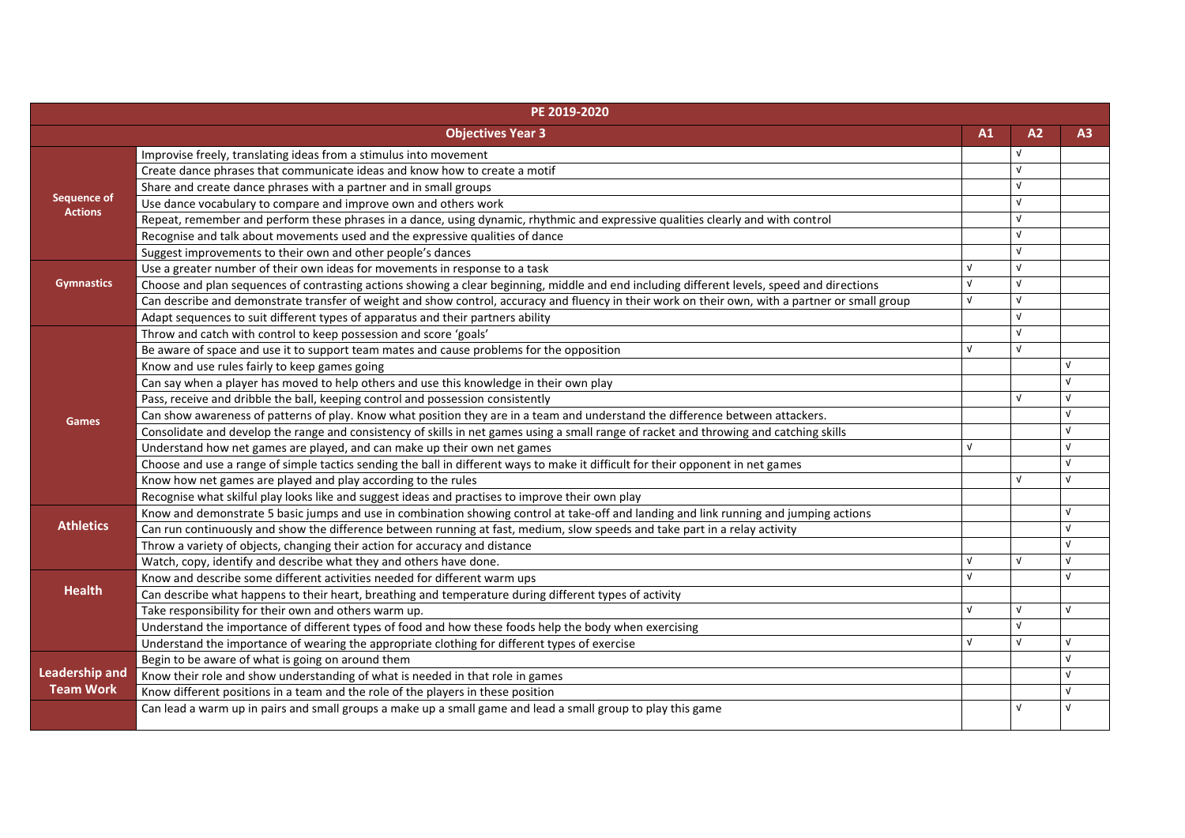| PE 2019-2020          |                                                                                                                                                  |            |            |            |
|-----------------------|--------------------------------------------------------------------------------------------------------------------------------------------------|------------|------------|------------|
|                       | <b>Objectives Year 3</b>                                                                                                                         | A1         | A2         | A3         |
|                       | Improvise freely, translating ideas from a stimulus into movement                                                                                |            |            |            |
|                       | Create dance phrases that communicate ideas and know how to create a motif                                                                       |            |            |            |
|                       | Share and create dance phrases with a partner and in small groups                                                                                |            |            |            |
| <b>Sequence of</b>    | Use dance vocabulary to compare and improve own and others work                                                                                  |            |            |            |
| <b>Actions</b>        | Repeat, remember and perform these phrases in a dance, using dynamic, rhythmic and expressive qualities clearly and with control                 |            | ν          |            |
|                       | Recognise and talk about movements used and the expressive qualities of dance                                                                    |            | νI         |            |
|                       | Suggest improvements to their own and other people's dances                                                                                      |            | ΛI         |            |
|                       | Use a greater number of their own ideas for movements in response to a task                                                                      |            | V          |            |
| <b>Gymnastics</b>     | Choose and plan sequences of contrasting actions showing a clear beginning, middle and end including different levels, speed and directions      |            | $\sqrt{ }$ |            |
|                       | Can describe and demonstrate transfer of weight and show control, accuracy and fluency in their work on their own, with a partner or small group |            | $\sqrt{ }$ |            |
|                       | Adapt sequences to suit different types of apparatus and their partners ability                                                                  |            | ν          |            |
|                       | Throw and catch with control to keep possession and score 'goals'                                                                                |            |            |            |
|                       | Be aware of space and use it to support team mates and cause problems for the opposition                                                         |            | $\sqrt{ }$ |            |
|                       | Know and use rules fairly to keep games going                                                                                                    |            |            |            |
|                       | Can say when a player has moved to help others and use this knowledge in their own play                                                          |            |            |            |
|                       | Pass, receive and dribble the ball, keeping control and possession consistently                                                                  |            | νI         | $\sqrt{ }$ |
| <b>Games</b>          | Can show awareness of patterns of play. Know what position they are in a team and understand the difference between attackers.                   |            |            | $\sqrt{ }$ |
|                       | Consolidate and develop the range and consistency of skills in net games using a small range of racket and throwing and catching skills          |            |            | $\sqrt{ }$ |
|                       | Understand how net games are played, and can make up their own net games                                                                         | νI         |            | $\sqrt{ }$ |
|                       | Choose and use a range of simple tactics sending the ball in different ways to make it difficult for their opponent in net games                 |            |            | $\sqrt{ }$ |
|                       | Know how net games are played and play according to the rules                                                                                    |            | ν          | $\sqrt{ }$ |
|                       | Recognise what skilful play looks like and suggest ideas and practises to improve their own play                                                 |            |            |            |
|                       | Know and demonstrate 5 basic jumps and use in combination showing control at take-off and landing and link running and jumping actions           |            |            |            |
| <b>Athletics</b>      | Can run continuously and show the difference between running at fast, medium, slow speeds and take part in a relay activity                      |            |            |            |
|                       | Throw a variety of objects, changing their action for accuracy and distance                                                                      |            |            |            |
|                       | Watch, copy, identify and describe what they and others have done.                                                                               |            | $\sqrt{ }$ | $\sqrt{ }$ |
|                       | Know and describe some different activities needed for different warm ups                                                                        |            |            | $\sqrt{ }$ |
| <b>Health</b>         | Can describe what happens to their heart, breathing and temperature during different types of activity                                           |            |            |            |
|                       | Take responsibility for their own and others warm up.                                                                                            | $\sqrt{ }$ |            | $\sqrt{ }$ |
|                       | Understand the importance of different types of food and how these foods help the body when exercising                                           |            |            |            |
|                       | Understand the importance of wearing the appropriate clothing for different types of exercise                                                    |            | $\sqrt{ }$ | $\sqrt{ }$ |
|                       | Begin to be aware of what is going on around them                                                                                                |            |            | $\sqrt{ }$ |
| <b>Leadership and</b> | Know their role and show understanding of what is needed in that role in games                                                                   |            |            |            |
| <b>Team Work</b>      | Know different positions in a team and the role of the players in these position                                                                 |            |            | $\sqrt{ }$ |
|                       | Can lead a warm up in pairs and small groups a make up a small game and lead a small group to play this game                                     |            |            |            |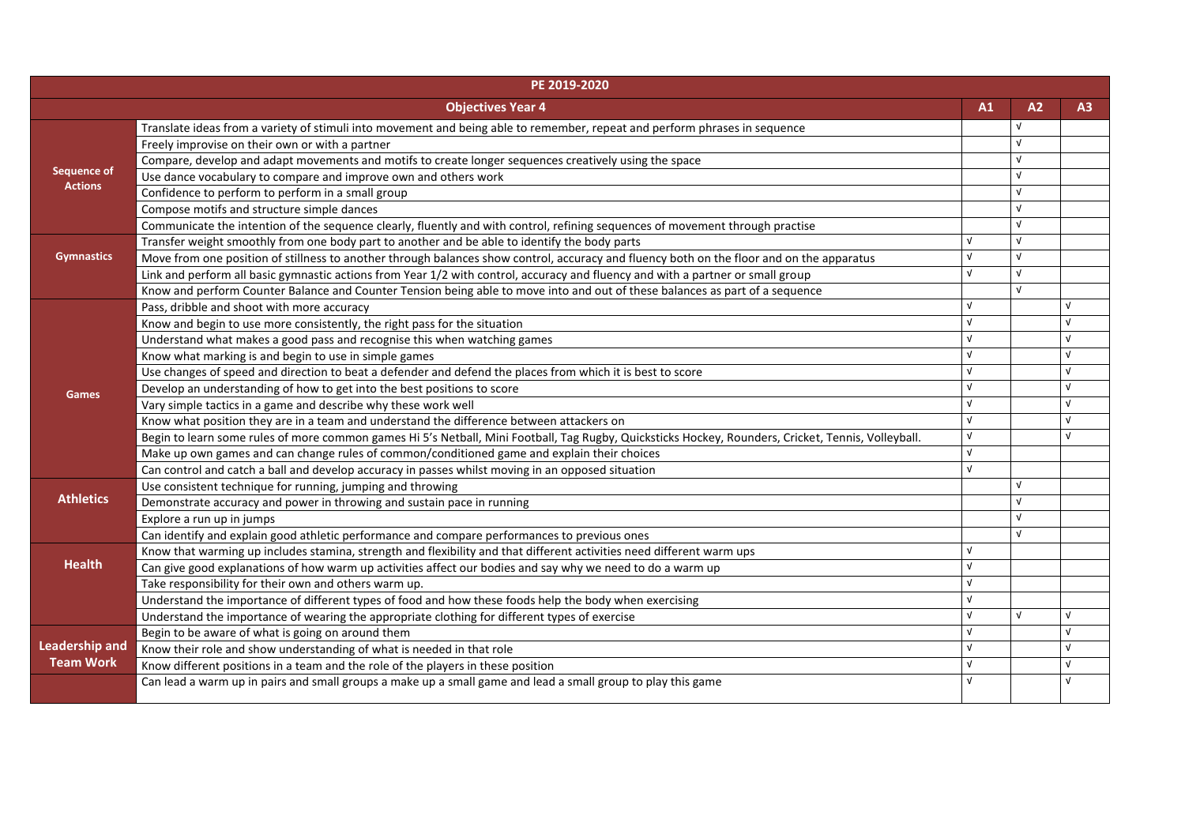| PE 2019-2020          |                                                                                                                                                     |            |            |                |
|-----------------------|-----------------------------------------------------------------------------------------------------------------------------------------------------|------------|------------|----------------|
|                       | <b>Objectives Year 4</b>                                                                                                                            | A1         | A2         | A <sub>3</sub> |
|                       | Translate ideas from a variety of stimuli into movement and being able to remember, repeat and perform phrases in sequence                          |            |            |                |
| <b>Sequence of</b>    | Freely improvise on their own or with a partner                                                                                                     |            | ν          |                |
|                       | Compare, develop and adapt movements and motifs to create longer sequences creatively using the space                                               |            | ν          |                |
|                       | Use dance vocabulary to compare and improve own and others work                                                                                     |            | $\sqrt{ }$ |                |
| <b>Actions</b>        | Confidence to perform to perform in a small group                                                                                                   |            |            |                |
|                       | Compose motifs and structure simple dances                                                                                                          |            |            |                |
|                       | Communicate the intention of the sequence clearly, fluently and with control, refining sequences of movement through practise                       |            |            |                |
|                       | Transfer weight smoothly from one body part to another and be able to identify the body parts                                                       |            | v          |                |
| <b>Gymnastics</b>     | Move from one position of stillness to another through balances show control, accuracy and fluency both on the floor and on the apparatus           |            | ν          |                |
|                       | Link and perform all basic gymnastic actions from Year 1/2 with control, accuracy and fluency and with a partner or small group                     |            | ν          |                |
|                       | Know and perform Counter Balance and Counter Tension being able to move into and out of these balances as part of a sequence                        |            | ν          |                |
|                       | Pass, dribble and shoot with more accuracy                                                                                                          |            |            |                |
|                       | Know and begin to use more consistently, the right pass for the situation                                                                           |            |            | V              |
|                       | Understand what makes a good pass and recognise this when watching games                                                                            |            |            | V              |
|                       | Know what marking is and begin to use in simple games                                                                                               |            |            | V              |
|                       | Use changes of speed and direction to beat a defender and defend the places from which it is best to score                                          |            |            | V              |
| <b>Games</b>          | Develop an understanding of how to get into the best positions to score                                                                             |            |            |                |
|                       | Vary simple tactics in a game and describe why these work well                                                                                      |            |            | V              |
|                       | Know what position they are in a team and understand the difference between attackers on                                                            |            |            | V              |
|                       | Begin to learn some rules of more common games Hi 5's Netball, Mini Football, Tag Rugby, Quicksticks Hockey, Rounders, Cricket, Tennis, Volleyball. |            |            |                |
|                       | Make up own games and can change rules of common/conditioned game and explain their choices                                                         |            |            |                |
|                       | Can control and catch a ball and develop accuracy in passes whilst moving in an opposed situation                                                   | $\sqrt{ }$ |            |                |
|                       | Use consistent technique for running, jumping and throwing                                                                                          |            | v          |                |
| <b>Athletics</b>      | Demonstrate accuracy and power in throwing and sustain pace in running                                                                              |            | ν          |                |
|                       | Explore a run up in jumps                                                                                                                           |            |            |                |
|                       | Can identify and explain good athletic performance and compare performances to previous ones                                                        |            | $\sqrt{ }$ |                |
|                       | Know that warming up includes stamina, strength and flexibility and that different activities need different warm ups                               |            |            |                |
| <b>Health</b>         | Can give good explanations of how warm up activities affect our bodies and say why we need to do a warm up                                          |            |            |                |
|                       | Take responsibility for their own and others warm up.                                                                                               |            |            |                |
|                       | Understand the importance of different types of food and how these foods help the body when exercising                                              |            |            |                |
|                       | Understand the importance of wearing the appropriate clothing for different types of exercise                                                       |            | V          | V              |
|                       | Begin to be aware of what is going on around them                                                                                                   |            |            | V              |
| <b>Leadership and</b> | Know their role and show understanding of what is needed in that role                                                                               |            |            | $\sqrt{ }$     |
| <b>Team Work</b>      | Know different positions in a team and the role of the players in these position                                                                    |            |            | V              |
|                       | Can lead a warm up in pairs and small groups a make up a small game and lead a small group to play this game                                        |            |            | V              |
|                       |                                                                                                                                                     |            |            |                |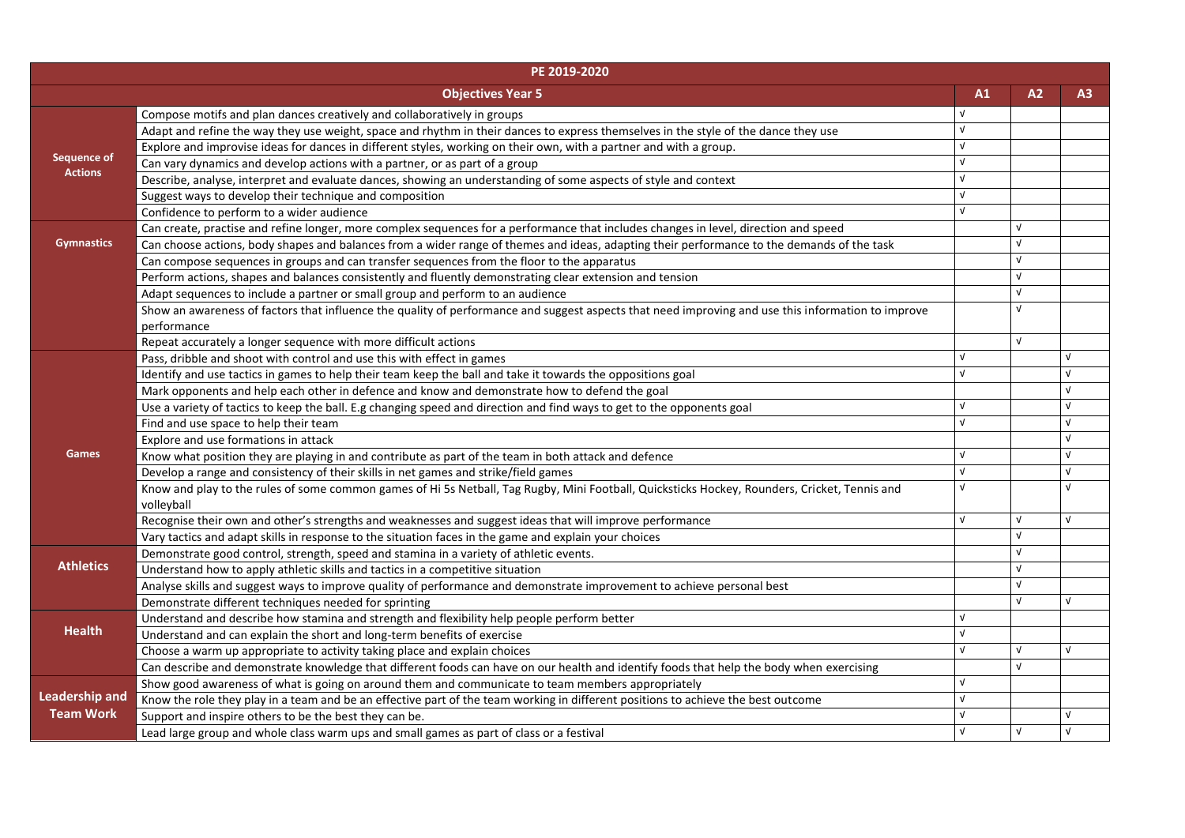| PE 2019-2020          |                                                                                                                                                    |            |            |            |  |
|-----------------------|----------------------------------------------------------------------------------------------------------------------------------------------------|------------|------------|------------|--|
|                       | <b>Objectives Year 5</b>                                                                                                                           | A1         | A2         | A3         |  |
|                       | Compose motifs and plan dances creatively and collaboratively in groups                                                                            |            |            |            |  |
|                       | Adapt and refine the way they use weight, space and rhythm in their dances to express themselves in the style of the dance they use                | $\sqrt{ }$ |            |            |  |
|                       | Explore and improvise ideas for dances in different styles, working on their own, with a partner and with a group.                                 | νI         |            |            |  |
| <b>Sequence of</b>    | Can vary dynamics and develop actions with a partner, or as part of a group                                                                        |            |            |            |  |
| <b>Actions</b>        | Describe, analyse, interpret and evaluate dances, showing an understanding of some aspects of style and context                                    |            |            |            |  |
|                       | Suggest ways to develop their technique and composition                                                                                            | $\sqrt{ }$ |            |            |  |
|                       | Confidence to perform to a wider audience                                                                                                          | $\sqrt{ }$ |            |            |  |
|                       | Can create, practise and refine longer, more complex sequences for a performance that includes changes in level, direction and speed               |            | V          |            |  |
| <b>Gymnastics</b>     | Can choose actions, body shapes and balances from a wider range of themes and ideas, adapting their performance to the demands of the task         |            |            |            |  |
|                       | Can compose sequences in groups and can transfer sequences from the floor to the apparatus                                                         |            |            |            |  |
|                       | Perform actions, shapes and balances consistently and fluently demonstrating clear extension and tension                                           |            |            |            |  |
|                       | Adapt sequences to include a partner or small group and perform to an audience                                                                     |            |            |            |  |
|                       | Show an awareness of factors that influence the quality of performance and suggest aspects that need improving and use this information to improve |            | V          |            |  |
|                       | performance                                                                                                                                        |            |            |            |  |
|                       | Repeat accurately a longer sequence with more difficult actions                                                                                    |            | $\sqrt{ }$ |            |  |
|                       | Pass, dribble and shoot with control and use this with effect in games                                                                             |            |            |            |  |
|                       | Identify and use tactics in games to help their team keep the ball and take it towards the oppositions goal                                        |            |            |            |  |
|                       | Mark opponents and help each other in defence and know and demonstrate how to defend the goal                                                      |            |            |            |  |
|                       | Use a variety of tactics to keep the ball. E.g changing speed and direction and find ways to get to the opponents goal                             |            |            | $\sqrt{ }$ |  |
|                       | Find and use space to help their team                                                                                                              |            |            |            |  |
|                       | Explore and use formations in attack                                                                                                               |            |            | $\sqrt{ }$ |  |
| <b>Games</b>          | Know what position they are playing in and contribute as part of the team in both attack and defence                                               | ν          |            | <b>V</b>   |  |
|                       | Develop a range and consistency of their skills in net games and strike/field games                                                                |            |            | $\sqrt{ }$ |  |
|                       | Know and play to the rules of some common games of Hi 5s Netball, Tag Rugby, Mini Football, Quicksticks Hockey, Rounders, Cricket, Tennis and      | v          |            |            |  |
|                       | volleyball                                                                                                                                         |            |            |            |  |
|                       | Recognise their own and other's strengths and weaknesses and suggest ideas that will improve performance                                           |            | $\sqrt{ }$ | $\sqrt{ }$ |  |
|                       | Vary tactics and adapt skills in response to the situation faces in the game and explain your choices                                              |            | $\sqrt{ }$ |            |  |
|                       | Demonstrate good control, strength, speed and stamina in a variety of athletic events.                                                             |            |            |            |  |
| <b>Athletics</b>      | Understand how to apply athletic skills and tactics in a competitive situation                                                                     |            |            |            |  |
|                       | Analyse skills and suggest ways to improve quality of performance and demonstrate improvement to achieve personal best                             |            | $\sqrt{ }$ |            |  |
|                       | Demonstrate different techniques needed for sprinting                                                                                              |            | $\sqrt{ }$ | $\sqrt{ }$ |  |
|                       | Understand and describe how stamina and strength and flexibility help people perform better                                                        | νI         |            |            |  |
| <b>Health</b>         | Understand and can explain the short and long-term benefits of exercise                                                                            | $\sqrt{ }$ |            |            |  |
|                       | Choose a warm up appropriate to activity taking place and explain choices                                                                          | νI         | $\sqrt{ }$ | $\sqrt{ }$ |  |
|                       | Can describe and demonstrate knowledge that different foods can have on our health and identify foods that help the body when exercising           |            |            |            |  |
|                       | Show good awareness of what is going on around them and communicate to team members appropriately                                                  |            |            |            |  |
| <b>Leadership and</b> | Know the role they play in a team and be an effective part of the team working in different positions to achieve the best outcome                  | $\sqrt{ }$ |            |            |  |
| <b>Team Work</b>      | Support and inspire others to be the best they can be.                                                                                             | νI         |            |            |  |
|                       | Lead large group and whole class warm ups and small games as part of class or a festival                                                           | $\sqrt{ }$ | $\sqrt{ }$ | $\sqrt{ }$ |  |